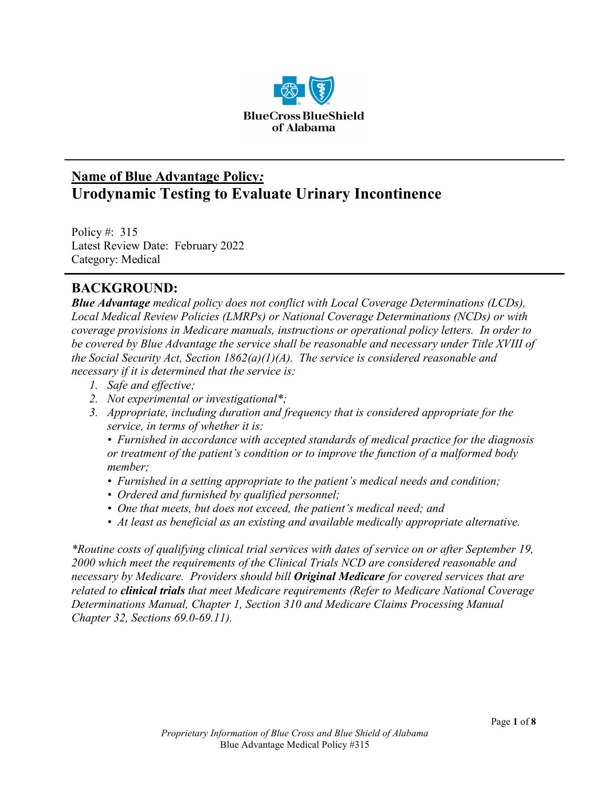

# **Name of Blue Advantage Policy***:* **Urodynamic Testing to Evaluate Urinary Incontinence**

Policy #: 315 Latest Review Date: February 2022 Category: Medical

## **BACKGROUND:**

*Blue Advantage medical policy does not conflict with Local Coverage Determinations (LCDs), Local Medical Review Policies (LMRPs) or National Coverage Determinations (NCDs) or with coverage provisions in Medicare manuals, instructions or operational policy letters. In order to be covered by Blue Advantage the service shall be reasonable and necessary under Title XVIII of the Social Security Act, Section 1862(a)(1)(A). The service is considered reasonable and necessary if it is determined that the service is:*

- *1. Safe and effective;*
- *2. Not experimental or investigational\*;*
- *3. Appropriate, including duration and frequency that is considered appropriate for the service, in terms of whether it is:*

*• Furnished in accordance with accepted standards of medical practice for the diagnosis or treatment of the patient's condition or to improve the function of a malformed body member;*

- *Furnished in a setting appropriate to the patient's medical needs and condition;*
- *Ordered and furnished by qualified personnel;*
- *One that meets, but does not exceed, the patient's medical need; and*
- *At least as beneficial as an existing and available medically appropriate alternative.*

*\*Routine costs of qualifying clinical trial services with dates of service on or after September 19, 2000 which meet the requirements of the Clinical Trials NCD are considered reasonable and necessary by Medicare. Providers should bill Original Medicare for covered services that are related to clinical trials that meet Medicare requirements (Refer to Medicare National Coverage Determinations Manual, Chapter 1, Section 310 and Medicare Claims Processing Manual Chapter 32, Sections 69.0-69.11).*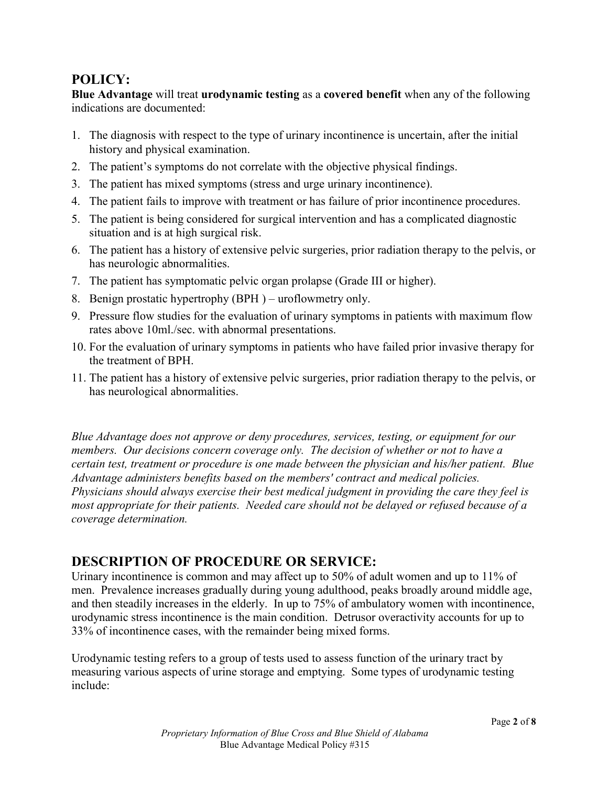### **POLICY:**

**Blue Advantage** will treat **urodynamic testing** as a **covered benefit** when any of the following indications are documented:

- 1. The diagnosis with respect to the type of urinary incontinence is uncertain, after the initial history and physical examination.
- 2. The patient's symptoms do not correlate with the objective physical findings.
- 3. The patient has mixed symptoms (stress and urge urinary incontinence).
- 4. The patient fails to improve with treatment or has failure of prior incontinence procedures.
- 5. The patient is being considered for surgical intervention and has a complicated diagnostic situation and is at high surgical risk.
- 6. The patient has a history of extensive pelvic surgeries, prior radiation therapy to the pelvis, or has neurologic abnormalities.
- 7. The patient has symptomatic pelvic organ prolapse (Grade III or higher).
- 8. Benign prostatic hypertrophy (BPH ) uroflowmetry only.
- 9. Pressure flow studies for the evaluation of urinary symptoms in patients with maximum flow rates above 10ml./sec. with abnormal presentations.
- 10. For the evaluation of urinary symptoms in patients who have failed prior invasive therapy for the treatment of BPH.
- 11. The patient has a history of extensive pelvic surgeries, prior radiation therapy to the pelvis, or has neurological abnormalities.

*Blue Advantage does not approve or deny procedures, services, testing, or equipment for our members. Our decisions concern coverage only. The decision of whether or not to have a certain test, treatment or procedure is one made between the physician and his/her patient. Blue Advantage administers benefits based on the members' contract and medical policies. Physicians should always exercise their best medical judgment in providing the care they feel is most appropriate for their patients. Needed care should not be delayed or refused because of a coverage determination.*

## **DESCRIPTION OF PROCEDURE OR SERVICE:**

Urinary incontinence is common and may affect up to 50% of adult women and up to 11% of men. Prevalence increases gradually during young adulthood, peaks broadly around middle age, and then steadily increases in the elderly. In up to 75% of ambulatory women with incontinence, urodynamic stress incontinence is the main condition. Detrusor overactivity accounts for up to 33% of incontinence cases, with the remainder being mixed forms.

Urodynamic testing refers to a group of tests used to assess function of the urinary tract by measuring various aspects of urine storage and emptying. Some types of urodynamic testing include: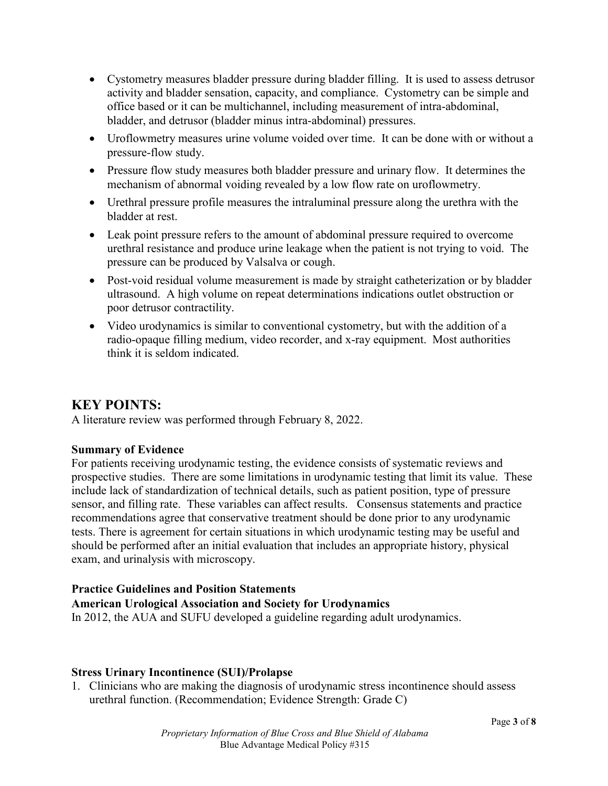- Cystometry measures bladder pressure during bladder filling. It is used to assess detrusor activity and bladder sensation, capacity, and compliance. Cystometry can be simple and office based or it can be multichannel, including measurement of intra-abdominal, bladder, and detrusor (bladder minus intra-abdominal) pressures.
- Uroflowmetry measures urine volume voided over time. It can be done with or without a pressure-flow study.
- Pressure flow study measures both bladder pressure and urinary flow. It determines the mechanism of abnormal voiding revealed by a low flow rate on uroflowmetry.
- Urethral pressure profile measures the intraluminal pressure along the urethra with the bladder at rest.
- Leak point pressure refers to the amount of abdominal pressure required to overcome urethral resistance and produce urine leakage when the patient is not trying to void. The pressure can be produced by Valsalva or cough.
- Post-void residual volume measurement is made by straight catheterization or by bladder ultrasound. A high volume on repeat determinations indications outlet obstruction or poor detrusor contractility.
- Video urodynamics is similar to conventional cystometry, but with the addition of a radio-opaque filling medium, video recorder, and x-ray equipment. Most authorities think it is seldom indicated.

## **KEY POINTS:**

A literature review was performed through February 8, 2022.

#### **Summary of Evidence**

For patients receiving urodynamic testing, the evidence consists of systematic reviews and prospective studies. There are some limitations in urodynamic testing that limit its value. These include lack of standardization of technical details, such as patient position, type of pressure sensor, and filling rate. These variables can affect results. Consensus statements and practice recommendations agree that conservative treatment should be done prior to any urodynamic tests. There is agreement for certain situations in which urodynamic testing may be useful and should be performed after an initial evaluation that includes an appropriate history, physical exam, and urinalysis with microscopy.

#### **Practice Guidelines and Position Statements**

#### **American Urological Association and Society for Urodynamics**

In 2012, the AUA and SUFU developed a guideline regarding adult urodynamics.

#### **Stress Urinary Incontinence (SUI)/Prolapse**

1. Clinicians who are making the diagnosis of urodynamic stress incontinence should assess urethral function. (Recommendation; Evidence Strength: Grade C)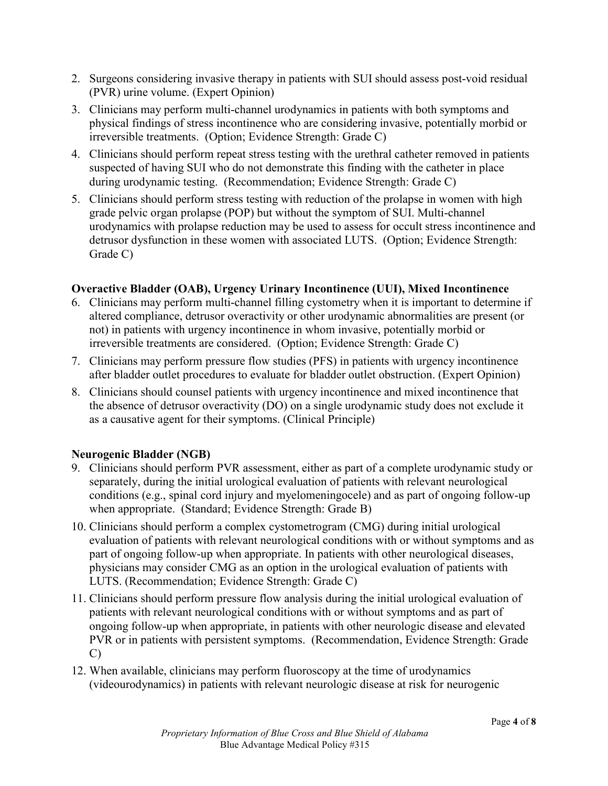- 2. Surgeons considering invasive therapy in patients with SUI should assess post-void residual (PVR) urine volume. (Expert Opinion)
- 3. Clinicians may perform multi-channel urodynamics in patients with both symptoms and physical findings of stress incontinence who are considering invasive, potentially morbid or irreversible treatments. (Option; Evidence Strength: Grade C)
- 4. Clinicians should perform repeat stress testing with the urethral catheter removed in patients suspected of having SUI who do not demonstrate this finding with the catheter in place during urodynamic testing. (Recommendation; Evidence Strength: Grade C)
- 5. Clinicians should perform stress testing with reduction of the prolapse in women with high grade pelvic organ prolapse (POP) but without the symptom of SUI. Multi-channel urodynamics with prolapse reduction may be used to assess for occult stress incontinence and detrusor dysfunction in these women with associated LUTS. (Option; Evidence Strength: Grade C)

#### **Overactive Bladder (OAB), Urgency Urinary Incontinence (UUI), Mixed Incontinence**

- 6. Clinicians may perform multi-channel filling cystometry when it is important to determine if altered compliance, detrusor overactivity or other urodynamic abnormalities are present (or not) in patients with urgency incontinence in whom invasive, potentially morbid or irreversible treatments are considered. (Option; Evidence Strength: Grade C)
- 7. Clinicians may perform pressure flow studies (PFS) in patients with urgency incontinence after bladder outlet procedures to evaluate for bladder outlet obstruction. (Expert Opinion)
- 8. Clinicians should counsel patients with urgency incontinence and mixed incontinence that the absence of detrusor overactivity (DO) on a single urodynamic study does not exclude it as a causative agent for their symptoms. (Clinical Principle)

#### **Neurogenic Bladder (NGB)**

- 9. Clinicians should perform PVR assessment, either as part of a complete urodynamic study or separately, during the initial urological evaluation of patients with relevant neurological conditions (e.g., spinal cord injury and myelomeningocele) and as part of ongoing follow-up when appropriate. (Standard; Evidence Strength: Grade B)
- 10. Clinicians should perform a complex cystometrogram (CMG) during initial urological evaluation of patients with relevant neurological conditions with or without symptoms and as part of ongoing follow-up when appropriate. In patients with other neurological diseases, physicians may consider CMG as an option in the urological evaluation of patients with LUTS. (Recommendation; Evidence Strength: Grade C)
- 11. Clinicians should perform pressure flow analysis during the initial urological evaluation of patients with relevant neurological conditions with or without symptoms and as part of ongoing follow-up when appropriate, in patients with other neurologic disease and elevated PVR or in patients with persistent symptoms. (Recommendation, Evidence Strength: Grade C)
- 12. When available, clinicians may perform fluoroscopy at the time of urodynamics (videourodynamics) in patients with relevant neurologic disease at risk for neurogenic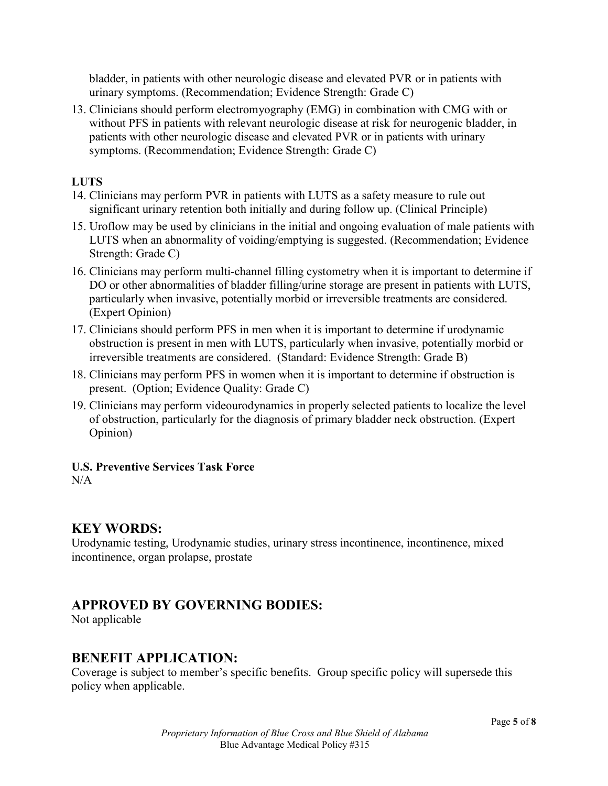bladder, in patients with other neurologic disease and elevated PVR or in patients with urinary symptoms. (Recommendation; Evidence Strength: Grade C)

13. Clinicians should perform electromyography (EMG) in combination with CMG with or without PFS in patients with relevant neurologic disease at risk for neurogenic bladder, in patients with other neurologic disease and elevated PVR or in patients with urinary symptoms. (Recommendation; Evidence Strength: Grade C)

### **LUTS**

- 14. Clinicians may perform PVR in patients with LUTS as a safety measure to rule out significant urinary retention both initially and during follow up. (Clinical Principle)
- 15. Uroflow may be used by clinicians in the initial and ongoing evaluation of male patients with LUTS when an abnormality of voiding/emptying is suggested. (Recommendation; Evidence Strength: Grade C)
- 16. Clinicians may perform multi-channel filling cystometry when it is important to determine if DO or other abnormalities of bladder filling/urine storage are present in patients with LUTS, particularly when invasive, potentially morbid or irreversible treatments are considered. (Expert Opinion)
- 17. Clinicians should perform PFS in men when it is important to determine if urodynamic obstruction is present in men with LUTS, particularly when invasive, potentially morbid or irreversible treatments are considered. (Standard: Evidence Strength: Grade B)
- 18. Clinicians may perform PFS in women when it is important to determine if obstruction is present. (Option; Evidence Quality: Grade C)
- 19. Clinicians may perform videourodynamics in properly selected patients to localize the level of obstruction, particularly for the diagnosis of primary bladder neck obstruction. (Expert Opinion)

## **U.S. Preventive Services Task Force**

 $N/A$ 

# **KEY WORDS:**

Urodynamic testing, Urodynamic studies, urinary stress incontinence, incontinence, mixed incontinence, organ prolapse, prostate

## **APPROVED BY GOVERNING BODIES:**

Not applicable

## **BENEFIT APPLICATION:**

Coverage is subject to member's specific benefits. Group specific policy will supersede this policy when applicable.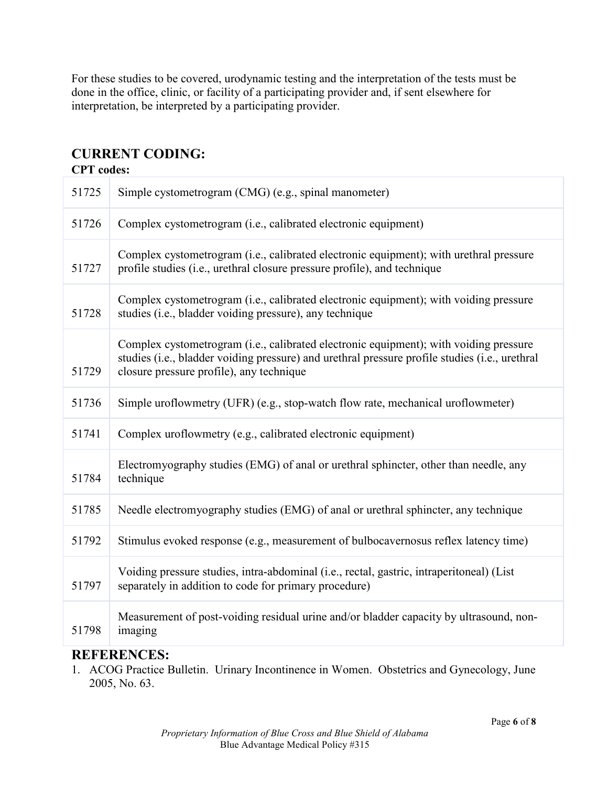For these studies to be covered, urodynamic testing and the interpretation of the tests must be done in the office, clinic, or facility of a participating provider and, if sent elsewhere for interpretation, be interpreted by a participating provider.

## **CURRENT CODING:**

| <b>CPT</b> codes: |                                                                                                                                                                                                                                     |
|-------------------|-------------------------------------------------------------------------------------------------------------------------------------------------------------------------------------------------------------------------------------|
| 51725             | Simple cystometrogram (CMG) (e.g., spinal manometer)                                                                                                                                                                                |
| 51726             | Complex cystometrogram (i.e., calibrated electronic equipment)                                                                                                                                                                      |
| 51727             | Complex cystometrogram (i.e., calibrated electronic equipment); with urethral pressure<br>profile studies (i.e., urethral closure pressure profile), and technique                                                                  |
| 51728             | Complex cystometrogram (i.e., calibrated electronic equipment); with voiding pressure<br>studies (i.e., bladder voiding pressure), any technique                                                                                    |
| 51729             | Complex cystometrogram (i.e., calibrated electronic equipment); with voiding pressure<br>studies (i.e., bladder voiding pressure) and urethral pressure profile studies (i.e., urethral<br>closure pressure profile), any technique |
| 51736             | Simple uroflowmetry (UFR) (e.g., stop-watch flow rate, mechanical uroflowmeter)                                                                                                                                                     |
| 51741             | Complex uroflowmetry (e.g., calibrated electronic equipment)                                                                                                                                                                        |
| 51784             | Electromyography studies (EMG) of anal or urethral sphincter, other than needle, any<br>technique                                                                                                                                   |
| 51785             | Needle electromyography studies (EMG) of anal or urethral sphincter, any technique                                                                                                                                                  |
| 51792             | Stimulus evoked response (e.g., measurement of bulbocavernosus reflex latency time)                                                                                                                                                 |
| 51797             | Voiding pressure studies, intra-abdominal (i.e., rectal, gastric, intraperitoneal) (List<br>separately in addition to code for primary procedure)                                                                                   |
| 51798             | Measurement of post-voiding residual urine and/or bladder capacity by ultrasound, non-<br>imaging                                                                                                                                   |

### **REFERENCES:**

1. ACOG Practice Bulletin. Urinary Incontinence in Women. Obstetrics and Gynecology, June 2005, No. 63.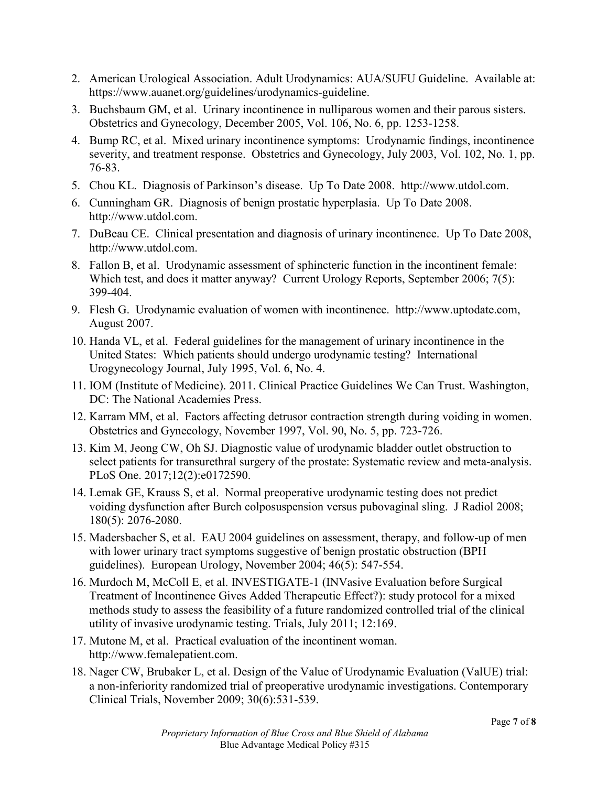- 2. American Urological Association. Adult Urodynamics: AUA/SUFU Guideline. Available at: https://www.auanet.org/guidelines/urodynamics-guideline.
- 3. Buchsbaum GM, et al. Urinary incontinence in nulliparous women and their parous sisters. Obstetrics and Gynecology, December 2005, Vol. 106, No. 6, pp. 1253-1258.
- 4. Bump RC, et al. Mixed urinary incontinence symptoms: Urodynamic findings, incontinence severity, and treatment response. Obstetrics and Gynecology, July 2003, Vol. 102, No. 1, pp. 76-83.
- 5. Chou KL. Diagnosis of Parkinson's disease. Up To Date 2008. http://www.utdol.com.
- 6. Cunningham GR. Diagnosis of benign prostatic hyperplasia. Up To Date 2008. http://www.utdol.com.
- 7. DuBeau CE. Clinical presentation and diagnosis of urinary incontinence. Up To Date 2008, http://www.utdol.com.
- 8. Fallon B, et al. Urodynamic assessment of sphincteric function in the incontinent female: Which test, and does it matter anyway? Current Urology Reports, September 2006; 7(5): 399-404.
- 9. Flesh G. Urodynamic evaluation of women with incontinence. http://www.uptodate.com, August 2007.
- 10. Handa VL, et al. Federal guidelines for the management of urinary incontinence in the United States: Which patients should undergo urodynamic testing? International Urogynecology Journal, July 1995, Vol. 6, No. 4.
- 11. IOM (Institute of Medicine). 2011. Clinical Practice Guidelines We Can Trust. Washington, DC: The National Academies Press.
- 12. Karram MM, et al. Factors affecting detrusor contraction strength during voiding in women. Obstetrics and Gynecology, November 1997, Vol. 90, No. 5, pp. 723-726.
- 13. Kim M, Jeong CW, Oh SJ. Diagnostic value of urodynamic bladder outlet obstruction to select patients for transurethral surgery of the prostate: Systematic review and meta-analysis. PLoS One. 2017;12(2):e0172590.
- 14. Lemak GE, Krauss S, et al. Normal preoperative urodynamic testing does not predict voiding dysfunction after Burch colposuspension versus pubovaginal sling. J Radiol 2008; 180(5): 2076-2080.
- 15. Madersbacher S, et al. EAU 2004 guidelines on assessment, therapy, and follow-up of men with lower urinary tract symptoms suggestive of benign prostatic obstruction (BPH guidelines). European Urology, November 2004; 46(5): 547-554.
- 16. Murdoch M, McColl E, et al. INVESTIGATE-1 (INVasive Evaluation before Surgical Treatment of Incontinence Gives Added Therapeutic Effect?): study protocol for a mixed methods study to assess the feasibility of a future randomized controlled trial of the clinical utility of invasive urodynamic testing. Trials, July 2011; 12:169.
- 17. Mutone M, et al. Practical evaluation of the incontinent woman. http://www.femalepatient.com.
- 18. Nager CW, Brubaker L, et al. Design of the Value of Urodynamic Evaluation (ValUE) trial: a non-inferiority randomized trial of preoperative urodynamic investigations. Contemporary Clinical Trials, November 2009; 30(6):531-539.